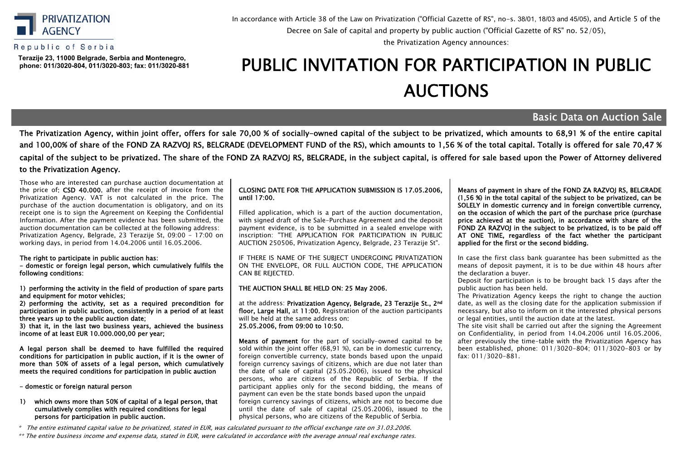

### Republic of Serbia

**Теrazije 23, 11000 Belgrade, Serbia and Montenegro, phone: 011/3020-804, 011/3020-803; fax: 011/3020-881**

## In accordance with Article 38 of the Law on Privatization ("Official Gazette of RS", no-s. 38/01, 18/03 and 45/05), and Article 5 of the Decree оn Sale of capital and property by public auction ("Official Gazette of RS" no. 52/05),

the Privatization Agency announces:

# PUBLIC INVITATION FOR PARTICIPATION IN PUBLIC АUCTIONS

## Basic Data on Auction Sale

The Privatization Agency, within joint offer, offers for sale 70,00 % of socially-owned capital of the subject to be privatized, which amounts to 68,91 % of the entire capital and 100,00% of share of the FOND ZA RAZVOJ RS, BELGRADE (DEVELOPMENT FUND of the RS), which amounts to 1,56 % of the total capital. Totally is offered for sale 70,47 % capital of the subject to be privatized. The share of the FOND ZA RAZVOJ RS, BELGRADE, in the subject capital, is offered for sale based upon the Power of Attorney delivered to the Privatization Agency.

Those who are interested can purchase auction documentation at the price of: CSD 40.000, after the receipt of invoice from the Privatization Agency. VAT is not calculated in the price. The purchase of the auction documentation is obligatory, and on its receipt one is to sign the Agreement on Keeping the Confidential Information. After the payment evidence has been submitted, the auction documentation can be collected at the following address: Privatization Agency, Belgrade, 23 Теrazije St, 09:00 - 17:00 on working days, in period from 14.04.2006 until 16.05.2006.

The right to participate in public auction has:

- domestic or foreign legal person, which cumulatively fulfils the following conditions:

1) performing the activity in the field of production of spare parts and equipment for motor vehicles;

2) performing the activity, set as a required precondition for participation in public auction, consistently in a period of at least three years up to the public auction date;

3) that it, in the last two business years, achieved the business income of at least EUR 10.000.000,00 per year;

A legal person shall be deemed to have fulfilled the required conditions for participation in public auction, if it is the owner of more than 50% of assets of a legal person, which cumulatively meets the required conditions for participation in public auction

- domestic or foreign natural person

#### 1) which owns more than 50% of capital of a legal person, that cumulatively complies with required conditions for legal persons for participation in public auction.

\* The entire estimated capital value to be privatized, stated in EUR, was calculated pursuant to the official exchange rate on 31.03.2006.

\*\* The entire business income and expense data, stated in EUR, were calculated in accordance with the average annual real exchange rates.

#### CLOSING DATE FOR THE APPLICATION SUBMISSION IS 17.05.2006, until 17:00.

Filled application, which is a part of the auction documentation, with signed draft of the Sale-Purchase Agreement and the deposit payment evidence, is to be submitted in a sealed envelope with inscription: "THE APPLICATION FOR PARTICIPATION IN PUBLIC AUCTION 250506, Privatization Agency, Belgrade, 23 Тerazije St".

IF THERE IS NAME OF THE SUBJECT UNDERGOING PRIVATIZATION ON THE ENVELOPE, OR FULL AUCTION CODE, THE APPLICATION CAN BE REJECTED.

#### THE AUCTION SHALL BE HELD ON: 25 May 2006.

at the address: Privatization Agency, Belgrade, 23 Terazije St., 2nd floor, Large Hall, at 11:00. Registration of the auction participants will be held at the same address on: 25.05.2006, from 09:00 to 10:50.

Means of payment for the part of socially-owned capital to be sold within the joint offer (68.91 %), can be in domestic currency, foreign convertible currency, state bonds based upon the unpaid foreign currency savings of citizens, which are due not later than the date of sale of capital (25.05.2006), issued to the physical persons, who are citizens of the Republic of Serbia. If the participant applies only for the second bidding, the means of payment can even be the state bonds based upon the unpaid foreign currency savings of citizens, which are not to become due until the date of sale of capital (25.05.2006), issued to the physical persons, who are citizens of the Republic of Serbia.

Means of payment in share of the FOND ZA RAZVOJ RS, BELGRADE (1,56 %) in the total capital of the subject to be privatized, can be SOLELY in domestic currency and in foreign convertible currency, on the occasion of which the part of the purchase price (purchase price achieved at the auction), in accordance with share of the FOND ZA RAZVOJ in the subject to be privatized, is to be paid off AT ONE TIME, regardless of the fact whether the participant applied for the first or the second bidding.

In case the first class bank guarantee has been submitted as the means of deposit payment, it is to be due within 48 hours after the declaration a buyer.

Deposit for participation is to be brought back 15 days after the public auction has been held.

The Privatization Agency keeps the right to change the auction date, as well as the closing date for the application submission if necessary, but also to inform on it the interested physical persons or legal entities, until the auction date at the latest.

The site visit shall be carried out after the signing the Agreement on Confidentiality, in period from 14.04.2006 until 16.05.2006, after previously the time-table with the Privatization Agency has been established, phone: 011/3020-804; 011/3020-803 or by fax: 011/3020-881.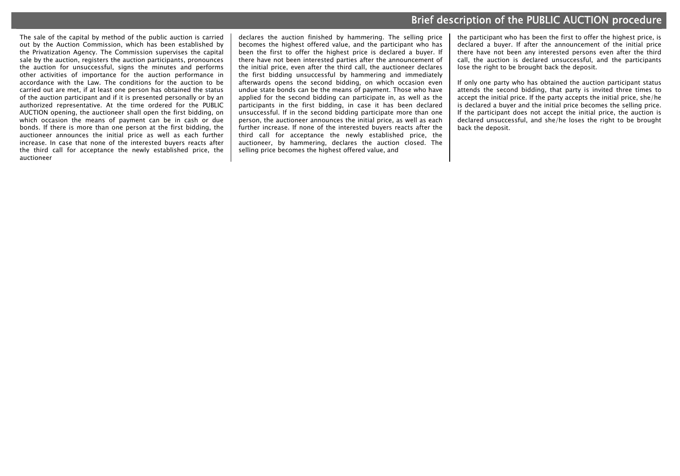# Brief description of the PUBLIC AUCTION procedure

The sale of the capital by method of the public auction is carried out by the Auction Commission, which has been established by the Privatization Agency. The Commission supervises the capital sale by the auction, registers the auction participants, pronounces the auction for unsuccessful, signs the minutes and performs other activities of importance for the auction performance in accordance with the Law. The conditions for the auction to be carried out are met, if at least one person has obtained the status of the auction participant and if it is presented personally or by an authorized representative. At the time ordered for the PUBLIC AUCTION opening, the auctioneer shall open the first bidding, on which occasion the means of payment can be in cash or due bonds. If there is more than one person at the first bidding, the auctioneer announces the initial price as well as each further increase. In case that none of the interested buyers reacts after the third call for acceptance the newly established price, the auctioneer

declares the auction finished by hammering. The selling price becomes the highest offered value, and the participant who has been the first to offer the highest price is declared a buyer. If there have not been interested parties after the announcement of the initial price, even after the third call, the auctioneer declares the first bidding unsuccessful by hammering and immediately afterwards opens the second bidding, on which occasion even undue state bonds can be the means of payment. Those who have applied for the second bidding can participate in, as well as the participants in the first bidding, in case it has been declared unsuccessful. If in the second bidding participate more than one person, the auctioneer announces the initial price, as well as each further increase. If none of the interested buyers reacts after the third call for acceptance the newly established price, the auctioneer, by hammering, declares the auction closed. The selling price becomes the highest offered value, and

the participant who has been the first to offer the highest price, is declared a buyer. If after the announcement of the initial price there have not been any interested persons even after the third call, the auction is declared unsuccessful, and the participants lose the right to be brought back the deposit.

If only one party who has obtained the auction participant status attends the second bidding, that party is invited three times to accept the initial price. If the party accepts the initial price, she/he is declared a buyer and the initial price becomes the selling price. If the participant does not accept the initial price, the auction is declared unsuccessful, and she/he loses the right to be brought back the deposit.